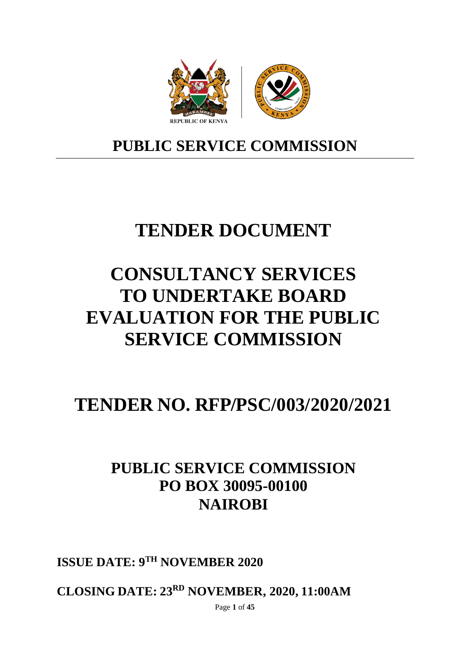

# **PUBLIC SERVICE COMMISSION**

# **TENDER DOCUMENT**

# **CONSULTANCY SERVICES TO UNDERTAKE BOARD EVALUATION FOR THE PUBLIC SERVICE COMMISSION**

# **TENDER NO. RFP/PSC/003/2020/2021**

# **PUBLIC SERVICE COMMISSION PO BOX 30095-00100 NAIROBI**

**ISSUE DATE: 9TH NOVEMBER 2020**

**CLOSING DATE: 23RD NOVEMBER, 2020, 11:00AM**

Page **1** of **45**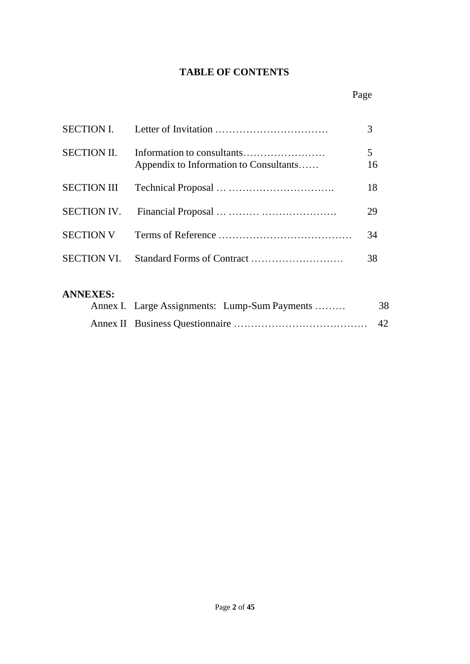# **TABLE OF CONTENTS**

# Page

|                    |                                        | 3       |
|--------------------|----------------------------------------|---------|
| <b>SECTION II.</b> | Appendix to Information to Consultants | 5<br>16 |
|                    |                                        | 18      |
|                    |                                        | 29      |
| <b>SECTION V</b>   |                                        | 34      |
|                    |                                        | 38      |

# **ANNEXES:**

| Annex I. Large Assignments: Lump-Sum Payments | 38 |
|-----------------------------------------------|----|
|                                               |    |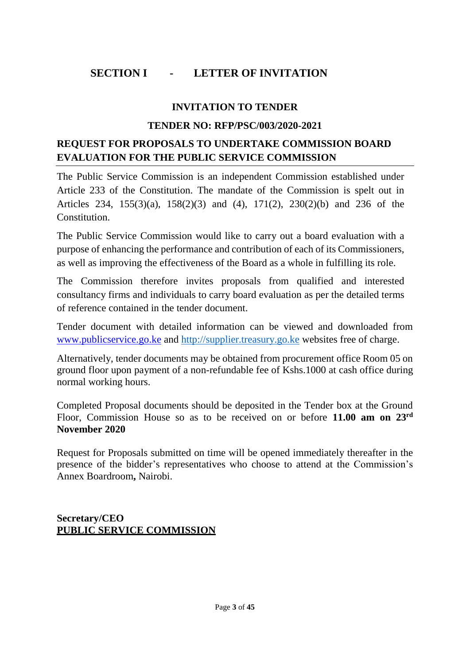# **SECTION I - LETTER OF INVITATION**

## **INVITATION TO TENDER**

#### **TENDER NO: RFP/PSC/003/2020-2021**

# **REQUEST FOR PROPOSALS TO UNDERTAKE COMMISSION BOARD EVALUATION FOR THE PUBLIC SERVICE COMMISSION**

The Public Service Commission is an independent Commission established under Article 233 of the Constitution. The mandate of the Commission is spelt out in Articles 234, 155(3)(a), 158(2)(3) and (4), 171(2), 230(2)(b) and 236 of the **Constitution** 

The Public Service Commission would like to carry out a board evaluation with a purpose of enhancing the performance and contribution of each of its Commissioners, as well as improving the effectiveness of the Board as a whole in fulfilling its role.

The Commission therefore invites proposals from qualified and interested consultancy firms and individuals to carry board evaluation as per the detailed terms of reference contained in the tender document.

Tender document with detailed information can be viewed and downloaded from [www.publicservice.go.ke](http://www.publicservice.go.ke/) and [http://supplier.treasury.go.ke](http://supplier.treasury.go.ke/) websites free of charge.

Alternatively, tender documents may be obtained from procurement office Room 05 on ground floor upon payment of a non-refundable fee of Kshs.1000 at cash office during normal working hours.

Completed Proposal documents should be deposited in the Tender box at the Ground Floor, Commission House so as to be received on or before **11.00 am on 23rd November 2020**

Request for Proposals submitted on time will be opened immediately thereafter in the presence of the bidder's representatives who choose to attend at the Commission's Annex Boardroom**,** Nairobi.

## **Secretary/CEO PUBLIC SERVICE COMMISSION**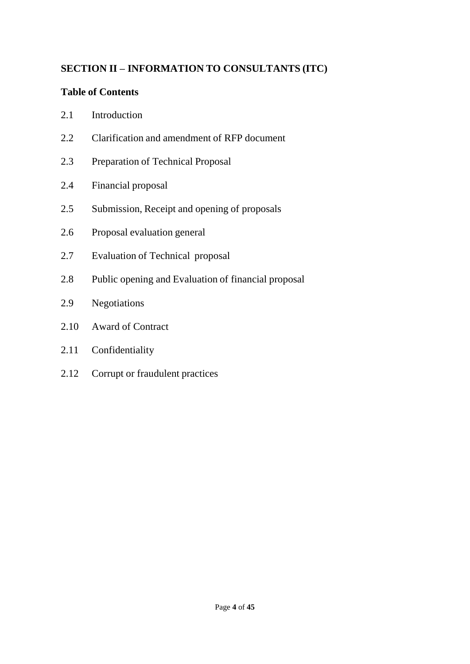# **SECTION II – INFORMATION TO CONSULTANTS (ITC)**

# **Table of Contents**

- 2.1 Introduction
- 2.2 Clarification and amendment of RFP document
- 2.3 Preparation of Technical Proposal
- 2.4 Financial proposal
- 2.5 Submission, Receipt and opening of proposals
- 2.6 Proposal evaluation general
- 2.7 Evaluation of Technical proposal
- 2.8 Public opening and Evaluation of financial proposal
- 2.9 Negotiations
- 2.10 Award of Contract
- 2.11 Confidentiality
- 2.12 Corrupt or fraudulent practices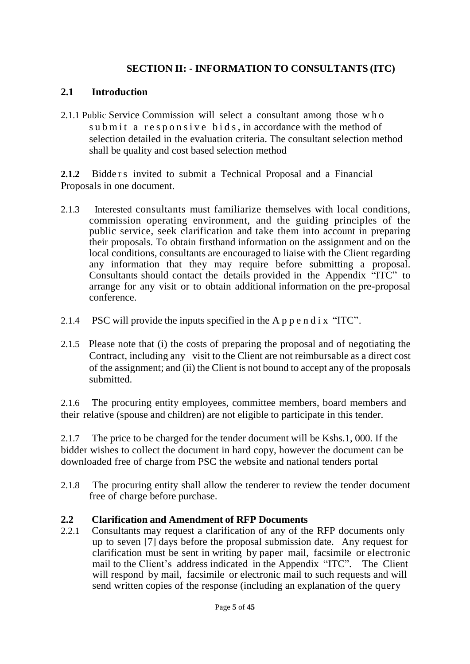# **SECTION II: - INFORMATION TO CONSULTANTS (ITC)**

## **2.1 Introduction**

2.1.1 Public Service Commission will select a consultant among those who sub mit a responsive bids, in accordance with the method of selection detailed in the evaluation criteria. The consultant selection method shall be quality and cost based selection method

**2.1.2** Bidde r s invited to submit a Technical Proposal and a Financial Proposals in one document.

- 2.1.3 Interested consultants must familiarize themselves with local conditions, commission operating environment, and the guiding principles of the public service, seek clarification and take them into account in preparing their proposals. To obtain firsthand information on the assignment and on the local conditions, consultants are encouraged to liaise with the Client regarding any information that they may require before submitting a proposal. Consultants should contact the details provided in the Appendix "ITC" to arrange for any visit or to obtain additional information on the pre-proposal conference.
- 2.1.4 PSC will provide the inputs specified in the A p  $p e n d i x$  "ITC".
- 2.1.5 Please note that (i) the costs of preparing the proposal and of negotiating the Contract, including any visit to the Client are not reimbursable as a direct cost of the assignment; and (ii) the Client is not bound to accept any of the proposals submitted.

2.1.6 The procuring entity employees, committee members, board members and their relative (spouse and children) are not eligible to participate in this tender.

2.1.7 The price to be charged for the tender document will be Kshs.1, 000. If the bidder wishes to collect the document in hard copy, however the document can be downloaded free of charge from PSC the website and national tenders portal

2.1.8 The procuring entity shall allow the tenderer to review the tender document free of charge before purchase.

### **2.2 Clarification and Amendment of RFP Documents**

2.2.1 Consultants may request a clarification of any of the RFP documents only up to seven [7] days before the proposal submission date. Any request for clarification must be sent in writing by paper mail, facsimile or electronic mail to the Client's address indicated in the Appendix "ITC". The Client will respond by mail, facsimile or electronic mail to such requests and will send written copies of the response (including an explanation of the query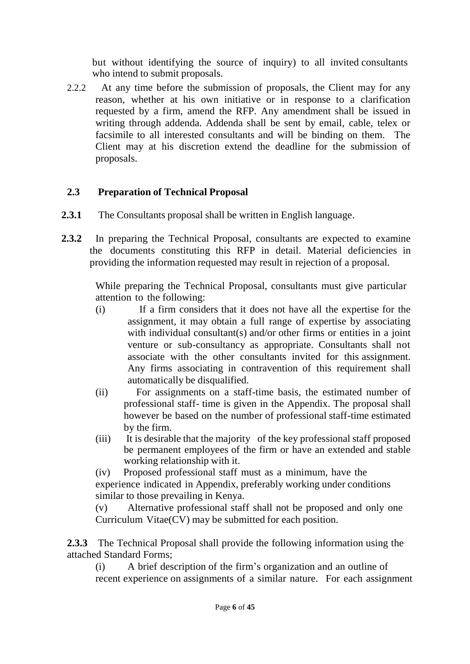but without identifying the source of inquiry) to all invited consultants who intend to submit proposals.

2.2.2 At any time before the submission of proposals, the Client may for any reason, whether at his own initiative or in response to a clarification requested by a firm, amend the RFP. Any amendment shall be issued in writing through addenda. Addenda shall be sent by email, cable, telex or facsimile to all interested consultants and will be binding on them. The Client may at his discretion extend the deadline for the submission of proposals.

# **2.3 Preparation of Technical Proposal**

- **2.3.1** The Consultants proposal shall be written in English language.
- **2.3.2** In preparing the Technical Proposal, consultants are expected to examine the documents constituting this RFP in detail. Material deficiencies in providing the information requested may result in rejection of a proposal.

While preparing the Technical Proposal, consultants must give particular attention to the following:

- (i) If a firm considers that it does not have all the expertise for the assignment, it may obtain a full range of expertise by associating with individual consultant(s) and/or other firms or entities in a joint venture or sub-consultancy as appropriate. Consultants shall not associate with the other consultants invited for this assignment. Any firms associating in contravention of this requirement shall automatically be disqualified.
- (ii) For assignments on a staff-time basis, the estimated number of professional staff- time is given in the Appendix. The proposal shall however be based on the number of professional staff-time estimated by the firm.
- (iii) It is desirable that the majority of the key professional staff proposed be permanent employees of the firm or have an extended and stable working relationship with it.

(iv) Proposed professional staff must as a minimum, have the experience indicated in Appendix, preferably working under conditions similar to those prevailing in Kenya.

(v) Alternative professional staff shall not be proposed and only one Curriculum Vitae(CV) may be submitted for each position.

**2.3.3** The Technical Proposal shall provide the following information using the attached Standard Forms;

(i) A brief description of the firm's organization and an outline of recent experience on assignments of a similar nature. For each assignment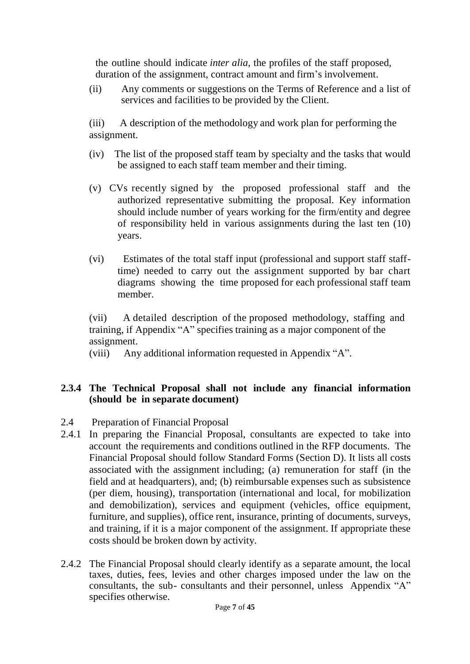the outline should indicate *inter alia,* the profiles of the staff proposed, duration of the assignment, contract amount and firm's involvement.

(ii) Any comments or suggestions on the Terms of Reference and a list of services and facilities to be provided by the Client.

(iii) A description of the methodology and work plan for performing the assignment.

- (iv) The list of the proposed staff team by specialty and the tasks that would be assigned to each staff team member and their timing.
- (v) CVs recently signed by the proposed professional staff and the authorized representative submitting the proposal. Key information should include number of years working for the firm/entity and degree of responsibility held in various assignments during the last ten (10) years.
- (vi) Estimates of the total staff input (professional and support staff stafftime) needed to carry out the assignment supported by bar chart diagrams showing the time proposed for each professional staff team member.

(vii) A detailed description of the proposed methodology, staffing and training, if Appendix "A" specifies training as a major component of the assignment.

(viii) Any additional information requested in Appendix "A".

## **2.3.4 The Technical Proposal shall not include any financial information (should be in separate document)**

- 2.4 Preparation of Financial Proposal
- 2.4.1 In preparing the Financial Proposal, consultants are expected to take into account the requirements and conditions outlined in the RFP documents. The Financial Proposal should follow Standard Forms (Section D). It lists all costs associated with the assignment including; (a) remuneration for staff (in the field and at headquarters), and; (b) reimbursable expenses such as subsistence (per diem, housing), transportation (international and local, for mobilization and demobilization), services and equipment (vehicles, office equipment, furniture, and supplies), office rent, insurance, printing of documents, surveys, and training, if it is a major component of the assignment. If appropriate these costs should be broken down by activity.
- 2.4.2 The Financial Proposal should clearly identify as a separate amount, the local taxes, duties, fees, levies and other charges imposed under the law on the consultants, the sub- consultants and their personnel, unless Appendix "A" specifies otherwise.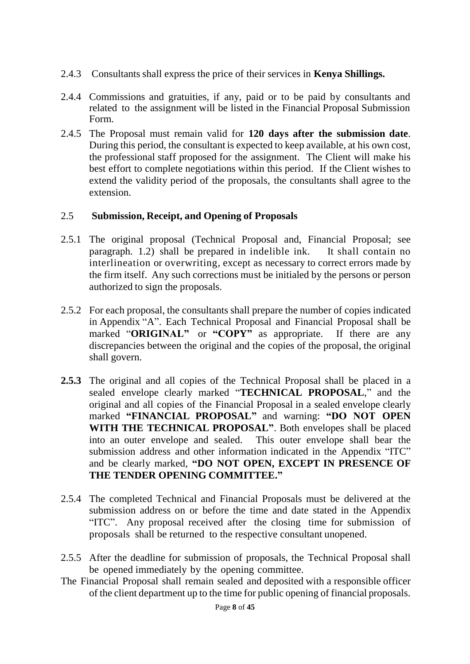- 2.4.3 Consultants shall express the price of their services in **Kenya Shillings.**
- 2.4.4 Commissions and gratuities, if any, paid or to be paid by consultants and related to the assignment will be listed in the Financial Proposal Submission Form.
- 2.4.5 The Proposal must remain valid for **120 days after the submission date**. During this period, the consultant is expected to keep available, at his own cost, the professional staff proposed for the assignment. The Client will make his best effort to complete negotiations within this period. If the Client wishes to extend the validity period of the proposals, the consultants shall agree to the extension.

## 2.5 **Submission, Receipt, and Opening of Proposals**

- 2.5.1 The original proposal (Technical Proposal and, Financial Proposal; see paragraph. 1.2) shall be prepared in indelible ink. It shall contain no interlineation or overwriting, except as necessary to correct errors made by the firm itself. Any such corrections must be initialed by the persons or person authorized to sign the proposals.
- 2.5.2 For each proposal, the consultants shall prepare the number of copies indicated in Appendix "A". Each Technical Proposal and Financial Proposal shall be marked "**ORIGINAL"** or **"COPY"** as appropriate. If there are any discrepancies between the original and the copies of the proposal, the original shall govern.
- **2.5.3** The original and all copies of the Technical Proposal shall be placed in a sealed envelope clearly marked "**TECHNICAL PROPOSAL**," and the original and all copies of the Financial Proposal in a sealed envelope clearly marked **"FINANCIAL PROPOSAL"** and warning: **"DO NOT OPEN WITH THE TECHNICAL PROPOSAL"**. Both envelopes shall be placed into an outer envelope and sealed. This outer envelope shall bear the submission address and other information indicated in the Appendix "ITC" and be clearly marked, **"DO NOT OPEN, EXCEPT IN PRESENCE OF THE TENDER OPENING COMMITTEE."**
- 2.5.4 The completed Technical and Financial Proposals must be delivered at the submission address on or before the time and date stated in the Appendix "ITC". Any proposal received after the closing time for submission of proposals shall be returned to the respective consultant unopened.
- 2.5.5 After the deadline for submission of proposals, the Technical Proposal shall be opened immediately by the opening committee.
- The Financial Proposal shall remain sealed and deposited with a responsible officer of the client department up to the time for public opening of financial proposals.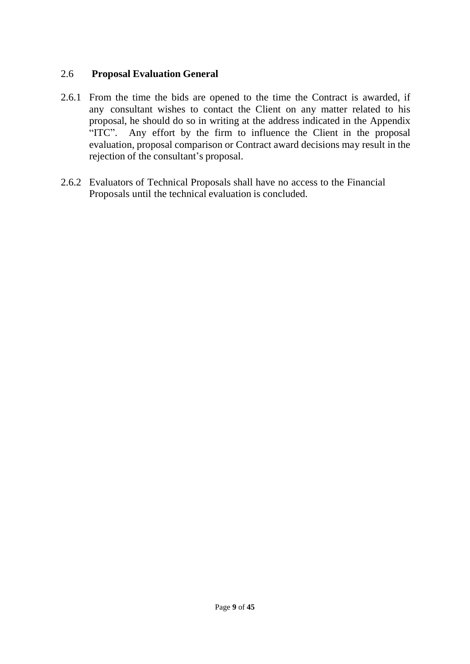## 2.6 **Proposal Evaluation General**

- 2.6.1 From the time the bids are opened to the time the Contract is awarded, if any consultant wishes to contact the Client on any matter related to his proposal, he should do so in writing at the address indicated in the Appendix "ITC". Any effort by the firm to influence the Client in the proposal evaluation, proposal comparison or Contract award decisions may result in the rejection of the consultant's proposal.
- 2.6.2 Evaluators of Technical Proposals shall have no access to the Financial Proposals until the technical evaluation is concluded.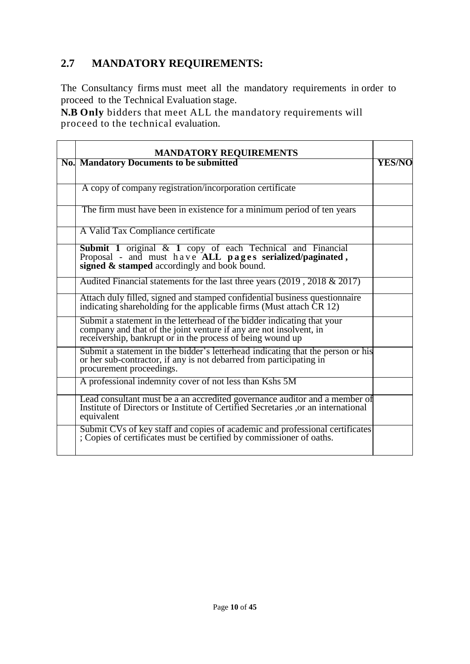# **2.7 MANDATORY REQUIREMENTS:**

The Consultancy firms must meet all the mandatory requirements in order to proceed to the Technical Evaluation stage.

**N.B Only** bidders that meet ALL the mandatory requirements will proceed to the technical evaluation.

| <b>MANDATORY REQUIREMENTS</b>                                                                                                                                                                               |               |
|-------------------------------------------------------------------------------------------------------------------------------------------------------------------------------------------------------------|---------------|
| <b>No.</b> Mandatory Documents to be submitted                                                                                                                                                              | <b>YES/NO</b> |
| A copy of company registration/incorporation certificate                                                                                                                                                    |               |
| The firm must have been in existence for a minimum period of ten years                                                                                                                                      |               |
| A Valid Tax Compliance certificate                                                                                                                                                                          |               |
| Submit 1 original & 1 copy of each Technical and Financial<br>Proposal - and must have ALL pages serialized/paginated,<br>signed $\&$ stamped accordingly and book bound.                                   |               |
| Audited Financial statements for the last three years $(2019, 2018 \& 2017)$                                                                                                                                |               |
| Attach duly filled, signed and stamped confidential business questionnaire<br>indicating shareholding for the applicable firms (Must attach CR 12)                                                          |               |
| Submit a statement in the letterhead of the bidder indicating that your<br>company and that of the joint venture if any are not insolvent, in<br>receivership, bankrupt or in the process of being wound up |               |
| Submit a statement in the bidder's letterhead indicating that the person or his<br>or her sub-contractor, if any is not debarred from participating in<br>procurement proceedings.                          |               |
| A professional indemnity cover of not less than Kshs 5M                                                                                                                                                     |               |
| Lead consultant must be a an accredited governance auditor and a member of<br>Institute of Directors or Institute of Certified Secretaries , or an international<br>equivalent                              |               |
| Submit CVs of key staff and copies of academic and professional certificates; Copies of certificates must be certified by commissioner of oaths.                                                            |               |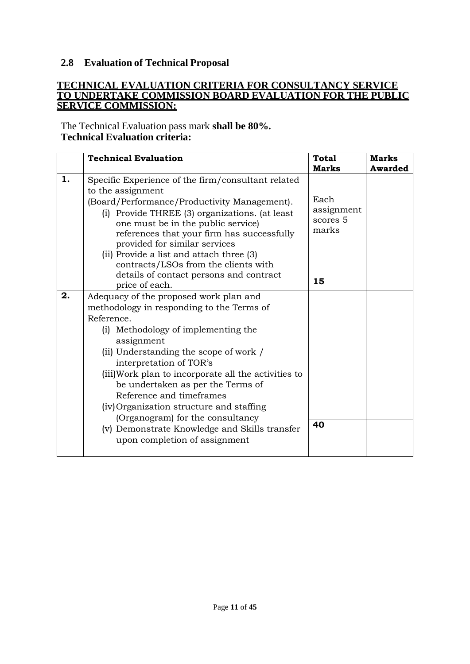## **2.8 Evaluation of Technical Proposal**

#### **TECHNICAL EVALUATION CRITERIA FOR CONSULTANCY SERVICE TO UNDERTAKE COMMISSION BOARD EVALUATION FOR THE PUBLIC SERVICE COMMISSION:**

The Technical Evaluation pass mark **shall be 80%. Technical Evaluation criteria:**

|    | <b>Technical Evaluation</b>                                                                                                                                                                                                                                                                                                                                                                                                                                                                                            | <b>Total</b><br><b>Marks</b>            | <b>Marks</b><br><b>Awarded</b> |
|----|------------------------------------------------------------------------------------------------------------------------------------------------------------------------------------------------------------------------------------------------------------------------------------------------------------------------------------------------------------------------------------------------------------------------------------------------------------------------------------------------------------------------|-----------------------------------------|--------------------------------|
| 1. | Specific Experience of the firm/consultant related<br>to the assignment<br>(Board/Performance/Productivity Management).<br>(i) Provide THREE (3) organizations. (at least<br>one must be in the public service)<br>references that your firm has successfully<br>provided for similar services<br>(ii) Provide a list and attach three (3)<br>contracts/LSOs from the clients with                                                                                                                                     | Each<br>assignment<br>scores 5<br>marks |                                |
|    | details of contact persons and contract<br>price of each.                                                                                                                                                                                                                                                                                                                                                                                                                                                              | 15                                      |                                |
| 2. | Adequacy of the proposed work plan and<br>methodology in responding to the Terms of<br>Reference.<br>(i) Methodology of implementing the<br>assignment<br>(ii) Understanding the scope of work /<br>interpretation of TOR's<br>(iii) Work plan to incorporate all the activities to<br>be undertaken as per the Terms of<br>Reference and timeframes<br>(iv) Organization structure and staffing<br>(Organogram) for the consultancy<br>(v) Demonstrate Knowledge and Skills transfer<br>upon completion of assignment | 40                                      |                                |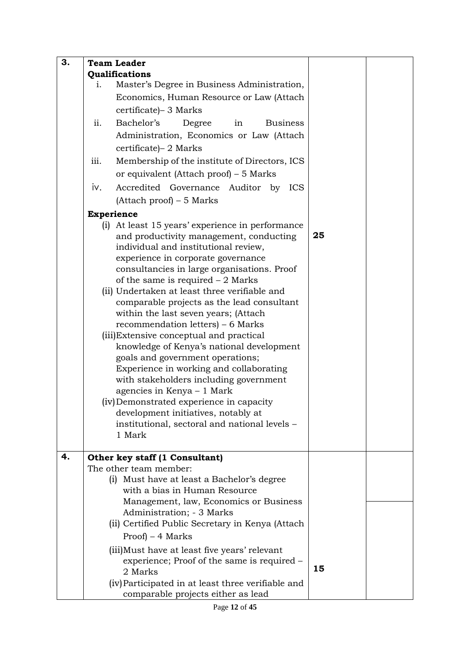| 3. | <b>Team Leader</b>                                      |    |  |
|----|---------------------------------------------------------|----|--|
|    | Qualifications                                          |    |  |
|    | Master's Degree in Business Administration,<br>1.       |    |  |
|    | Economics, Human Resource or Law (Attach                |    |  |
|    | certificate) - 3 Marks                                  |    |  |
|    | ii.<br>Bachelor's<br><b>Business</b><br>Degree<br>in    |    |  |
|    | Administration, Economics or Law (Attach                |    |  |
|    | certificate) – 2 Marks                                  |    |  |
|    | Membership of the institute of Directors, ICS<br>iii.   |    |  |
|    | or equivalent (Attach proof) – 5 Marks                  |    |  |
|    | iv.<br>Accredited Governance Auditor by ICS             |    |  |
|    | $(Attack proof) - 5 Marks$                              |    |  |
|    | <b>Experience</b>                                       |    |  |
|    | (i) At least 15 years' experience in performance        |    |  |
|    | and productivity management, conducting                 | 25 |  |
|    | individual and institutional review,                    |    |  |
|    | experience in corporate governance                      |    |  |
|    | consultancies in large organisations. Proof             |    |  |
|    | of the same is required $-2$ Marks                      |    |  |
|    | (ii) Undertaken at least three verifiable and           |    |  |
|    | comparable projects as the lead consultant              |    |  |
|    | within the last seven years; (Attach                    |    |  |
|    | recommendation letters) – 6 Marks                       |    |  |
|    | (iii) Extensive conceptual and practical                |    |  |
|    | knowledge of Kenya's national development               |    |  |
|    | goals and government operations;                        |    |  |
|    | Experience in working and collaborating                 |    |  |
|    | with stakeholders including government                  |    |  |
|    | agencies in Kenya – 1 Mark                              |    |  |
|    | (iv) Demonstrated experience in capacity                |    |  |
|    | development initiatives, notably at                     |    |  |
|    | institutional, sectoral and national levels -<br>1 Mark |    |  |
|    |                                                         |    |  |
| 4. | Other key staff (1 Consultant)                          |    |  |
|    | The other team member:                                  |    |  |
|    | (i) Must have at least a Bachelor's degree              |    |  |
|    | with a bias in Human Resource                           |    |  |
|    | Management, law, Economics or Business                  |    |  |
|    | Administration; - 3 Marks                               |    |  |
|    | (ii) Certified Public Secretary in Kenya (Attach        |    |  |
|    | $Proof - 4 Marks$                                       |    |  |
|    | (iii) Must have at least five years' relevant           |    |  |
|    | experience; Proof of the same is required -             |    |  |
|    | 2 Marks                                                 | 15 |  |
|    | (iv) Participated in at least three verifiable and      |    |  |
|    | comparable projects either as lead                      |    |  |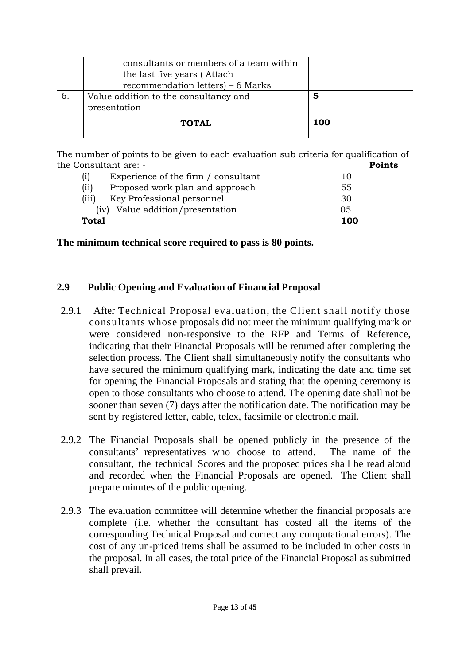|    | consultants or members of a team within<br>the last five years (Attach<br>recommendation letters) – 6 Marks |     |
|----|-------------------------------------------------------------------------------------------------------------|-----|
| 6. | Value addition to the consultancy and<br>presentation                                                       | 5   |
|    | <b>TOTAL</b>                                                                                                | 100 |

The number of points to be given to each evaluation sub criteria for qualification of the Consultant are: - **Points** 

| Total |                                     | 100 |
|-------|-------------------------------------|-----|
|       | (iv) Value addition/presentation    | 05  |
| (iii) | Key Professional personnel          | 30  |
| (ii)  | Proposed work plan and approach     | 55  |
| (i)   | Experience of the firm / consultant | 10  |

**The minimum technical score required to pass is 80 points.**

### **2.9 Public Opening and Evaluation of Financial Proposal**

- 2.9.1 After Technical Proposal evaluation, the Client shall notify those consultants whose proposals did not meet the minimum qualifying mark or were considered non-responsive to the RFP and Terms of Reference, indicating that their Financial Proposals will be returned after completing the selection process. The Client shall simultaneously notify the consultants who have secured the minimum qualifying mark, indicating the date and time set for opening the Financial Proposals and stating that the opening ceremony is open to those consultants who choose to attend. The opening date shall not be sooner than seven (7) days after the notification date. The notification may be sent by registered letter, cable, telex, facsimile or electronic mail.
- 2.9.2 The Financial Proposals shall be opened publicly in the presence of the consultants' representatives who choose to attend. The name of the consultant, the technical Scores and the proposed prices shall be read aloud and recorded when the Financial Proposals are opened. The Client shall prepare minutes of the public opening.
- 2.9.3 The evaluation committee will determine whether the financial proposals are complete (i.e. whether the consultant has costed all the items of the corresponding Technical Proposal and correct any computational errors). The cost of any un-priced items shall be assumed to be included in other costs in the proposal. In all cases, the total price of the Financial Proposal as submitted shall prevail.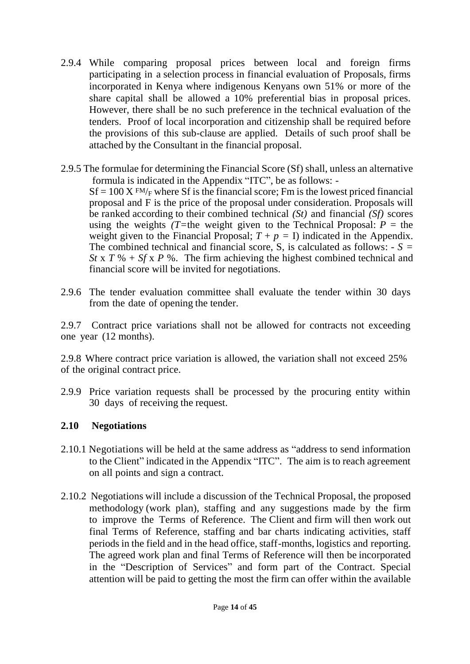- 2.9.4 While comparing proposal prices between local and foreign firms participating in a selection process in financial evaluation of Proposals, firms incorporated in Kenya where indigenous Kenyans own 51% or more of the share capital shall be allowed a 10% preferential bias in proposal prices. However, there shall be no such preference in the technical evaluation of the tenders. Proof of local incorporation and citizenship shall be required before the provisions of this sub-clause are applied. Details of such proof shall be attached by the Consultant in the financial proposal.
- 2.9.5 The formulae for determining the Financial Score (Sf) shall, unless an alternative formula is indicated in the Appendix "ITC", be as follows: -  $Sf = 100 X F M/F$  where Sf is the financial score; Fm is the lowest priced financial proposal and F is the price of the proposal under consideration. Proposals will be ranked according to their combined technical *(St)* and financial *(Sf)* scores using the weights *(T=the weight given to the Technical Proposal:*  $P =$  *the* weight given to the Financial Proposal;  $T + p = I$ ) indicated in the Appendix. The combined technical and financial score, S, is calculated as follows:  $-S =$ *St* x *T* % + *Sf* x *P* %. The firm achieving the highest combined technical and financial score will be invited for negotiations.
- 2.9.6 The tender evaluation committee shall evaluate the tender within 30 days from the date of opening the tender.

2.9.7 Contract price variations shall not be allowed for contracts not exceeding one year (12 months).

2.9.8 Where contract price variation is allowed, the variation shall not exceed 25% of the original contract price.

2.9.9 Price variation requests shall be processed by the procuring entity within 30 days of receiving the request.

### **2.10 Negotiations**

- 2.10.1 Negotiations will be held at the same address as "address to send information to the Client" indicated in the Appendix "ITC". The aim is to reach agreement on all points and sign a contract.
- 2.10.2 Negotiations will include a discussion of the Technical Proposal, the proposed methodology (work plan), staffing and any suggestions made by the firm to improve the Terms of Reference. The Client and firm will then work out final Terms of Reference, staffing and bar charts indicating activities, staff periods in the field and in the head office, staff-months, logistics and reporting. The agreed work plan and final Terms of Reference will then be incorporated in the "Description of Services" and form part of the Contract. Special attention will be paid to getting the most the firm can offer within the available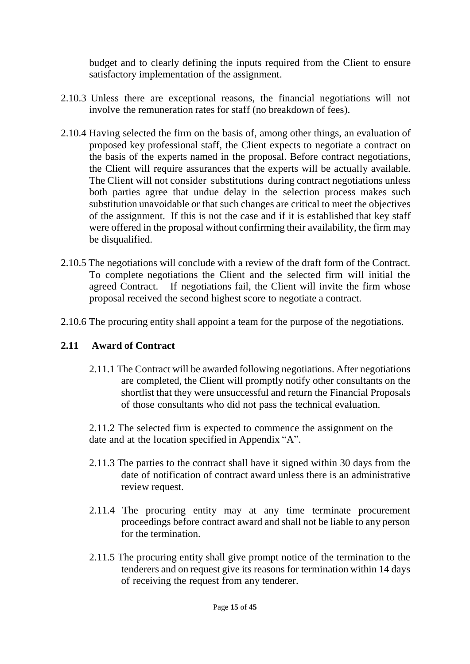budget and to clearly defining the inputs required from the Client to ensure satisfactory implementation of the assignment.

- 2.10.3 Unless there are exceptional reasons, the financial negotiations will not involve the remuneration rates for staff (no breakdown of fees).
- 2.10.4 Having selected the firm on the basis of, among other things, an evaluation of proposed key professional staff, the Client expects to negotiate a contract on the basis of the experts named in the proposal. Before contract negotiations, the Client will require assurances that the experts will be actually available. The Client will not consider substitutions during contract negotiations unless both parties agree that undue delay in the selection process makes such substitution unavoidable or that such changes are critical to meet the objectives of the assignment. If this is not the case and if it is established that key staff were offered in the proposal without confirming their availability, the firm may be disqualified.
- 2.10.5 The negotiations will conclude with a review of the draft form of the Contract. To complete negotiations the Client and the selected firm will initial the agreed Contract. If negotiations fail, the Client will invite the firm whose proposal received the second highest score to negotiate a contract.
- 2.10.6 The procuring entity shall appoint a team for the purpose of the negotiations.

## **2.11 Award of Contract**

2.11.1 The Contract will be awarded following negotiations. After negotiations are completed, the Client will promptly notify other consultants on the shortlist that they were unsuccessful and return the Financial Proposals of those consultants who did not pass the technical evaluation.

2.11.2 The selected firm is expected to commence the assignment on the date and at the location specified in Appendix "A".

- 2.11.3 The parties to the contract shall have it signed within 30 days from the date of notification of contract award unless there is an administrative review request.
- 2.11.4 The procuring entity may at any time terminate procurement proceedings before contract award and shall not be liable to any person for the termination.
- 2.11.5 The procuring entity shall give prompt notice of the termination to the tenderers and on request give its reasons for termination within 14 days of receiving the request from any tenderer.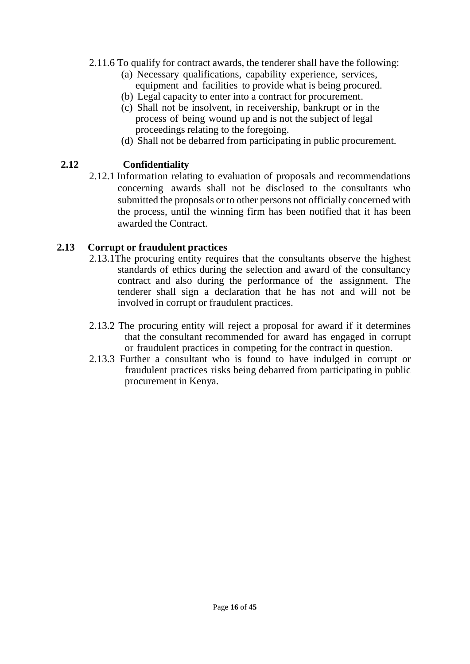- 2.11.6 To qualify for contract awards, the tenderer shall have the following:
	- (a) Necessary qualifications, capability experience, services, equipment and facilities to provide what is being procured.
	- (b) Legal capacity to enter into a contract for procurement.
	- (c) Shall not be insolvent, in receivership, bankrupt or in the process of being wound up and is not the subject of legal proceedings relating to the foregoing.
	- (d) Shall not be debarred from participating in public procurement.

# **2.12 Confidentiality**

2.12.1 Information relating to evaluation of proposals and recommendations concerning awards shall not be disclosed to the consultants who submitted the proposals or to other persons not officially concerned with the process, until the winning firm has been notified that it has been awarded the Contract.

## **2.13 Corrupt or fraudulent practices**

- 2.13.1The procuring entity requires that the consultants observe the highest standards of ethics during the selection and award of the consultancy contract and also during the performance of the assignment. The tenderer shall sign a declaration that he has not and will not be involved in corrupt or fraudulent practices.
- 2.13.2 The procuring entity will reject a proposal for award if it determines that the consultant recommended for award has engaged in corrupt or fraudulent practices in competing for the contract in question.
- 2.13.3 Further a consultant who is found to have indulged in corrupt or fraudulent practices risks being debarred from participating in public procurement in Kenya.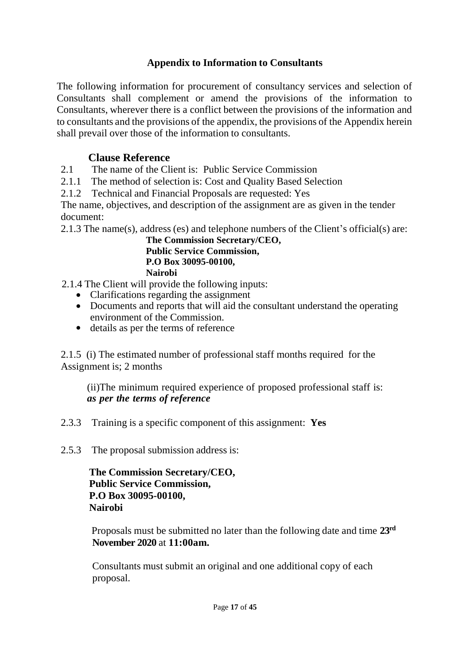# **Appendix to Information to Consultants**

The following information for procurement of consultancy services and selection of Consultants shall complement or amend the provisions of the information to Consultants, wherever there is a conflict between the provisions of the information and to consultants and the provisions of the appendix, the provisions of the Appendix herein shall prevail over those of the information to consultants.

# **Clause Reference**

2.1 The name of the Client is: Public Service Commission

2.1.1 The method of selection is: Cost and Quality Based Selection

2.1.2 Technical and Financial Proposals are requested: Yes

The name, objectives, and description of the assignment are as given in the tender document:

2.1.3 The name(s), address (es) and telephone numbers of the Client's official(s) are:

**The Commission Secretary/CEO, Public Service Commission, P.O Box 30095-00100, Nairobi**

2.1.4 The Client will provide the following inputs:

- Clarifications regarding the assignment
- Documents and reports that will aid the consultant understand the operating environment of the Commission.
- details as per the terms of reference

2.1.5 (i) The estimated number of professional staff months required for the Assignment is; 2 months

(ii)The minimum required experience of proposed professional staff is: *as per the terms of reference*

- 2.3.3 Training is a specific component of this assignment: **Yes**
- 2.5.3 The proposal submission address is:

**The Commission Secretary/CEO, Public Service Commission, P.O Box 30095-00100, Nairobi**

 Proposals must be submitted no later than the following date and time **23rd November 2020** at **11:00am.**

Consultants must submit an original and one additional copy of each proposal.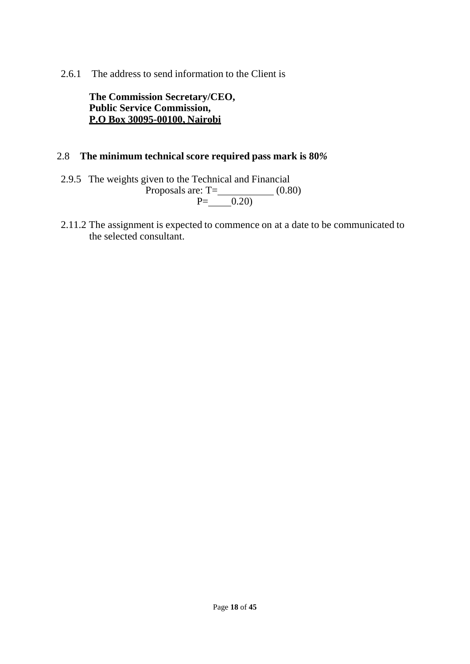2.6.1 The address to send information to the Client is

**The Commission Secretary/CEO, Public Service Commission, P.O Box 30095-00100, Nairobi**

### 2.8 **The minimum technical score required pass mark is 80***%*

- 2.9.5 The weights given to the Technical and Financial Proposals are:  $T=\_$  (0.80)  $P=\_ 0.20$
- 2.11.2 The assignment is expected to commence on at a date to be communicated to the selected consultant.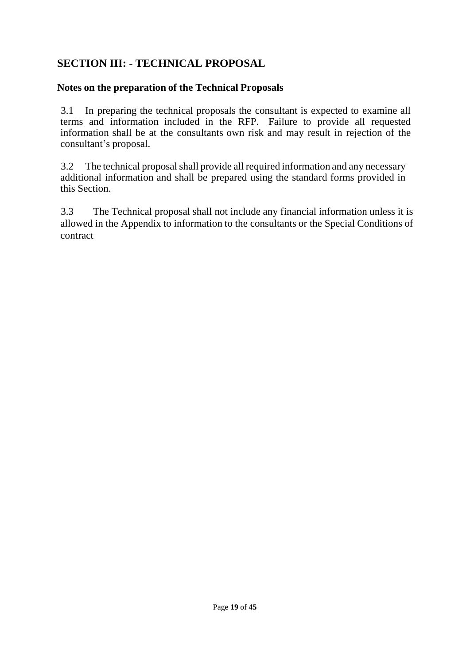# **SECTION III: - TECHNICAL PROPOSAL**

## **Notes on the preparation of the Technical Proposals**

3.1 In preparing the technical proposals the consultant is expected to examine all terms and information included in the RFP. Failure to provide all requested information shall be at the consultants own risk and may result in rejection of the consultant's proposal.

3.2 The technical proposalshall provide all required information and any necessary additional information and shall be prepared using the standard forms provided in this Section.

3.3 The Technical proposal shall not include any financial information unless it is allowed in the Appendix to information to the consultants or the Special Conditions of contract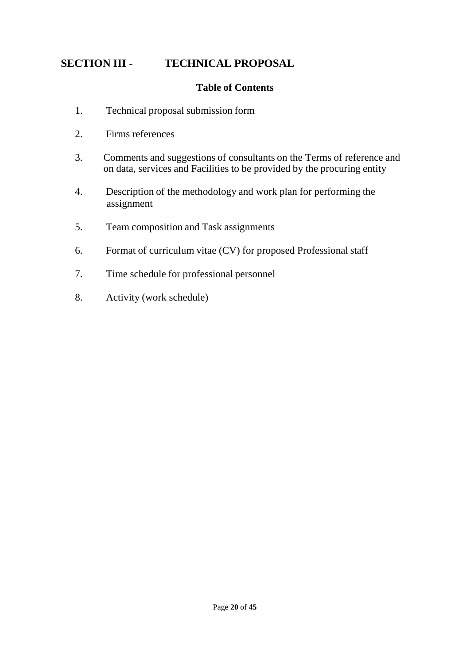# **SECTION III - TECHNICAL PROPOSAL**

## **Table of Contents**

- 1. Technical proposal submission form
- 2. Firms references
- 3. Comments and suggestions of consultants on the Terms of reference and on data, services and Facilities to be provided by the procuring entity
- 4. Description of the methodology and work plan for performing the assignment
- 5. Team composition and Task assignments
- 6. Format of curriculum vitae (CV) for proposed Professional staff
- 7. Time schedule for professional personnel
- 8. Activity (work schedule)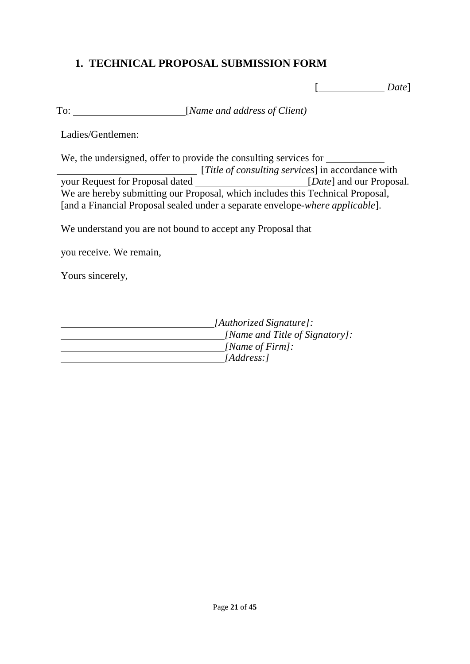# **1. TECHNICAL PROPOSAL SUBMISSION FORM**

[ *Date*]

To: [*Name and address of Client)*

Ladies/Gentlemen:

We, the undersigned, offer to provide the consulting services for [*Title of consulting services*] in accordance with your Request for Proposal dated [*Date*] and our Proposal. We are hereby submitting our Proposal, which includes this Technical Proposal, [and a Financial Proposal sealed under a separate envelope-*where applicable*].

We understand you are not bound to accept any Proposal that

you receive. We remain,

Yours sincerely,

| [Authorized Signature]:        |
|--------------------------------|
| [Name and Title of Signatory]: |
| [Name of Firm]:                |
| [Address:]                     |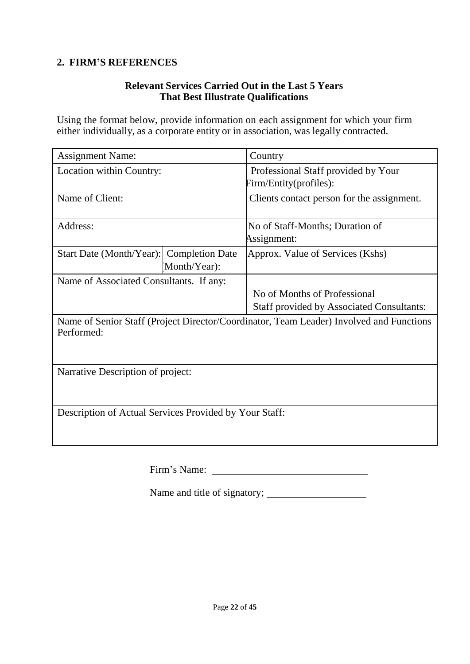# **2. FIRM'S REFERENCES**

### **Relevant Services Carried Out in the Last 5 Years That Best Illustrate Qualifications**

Using the format below, provide information on each assignment for which your firm either individually, as a corporate entity or in association, was legally contracted.

| <b>Assignment Name:</b>                                                                               |              | Country                                                       |  |
|-------------------------------------------------------------------------------------------------------|--------------|---------------------------------------------------------------|--|
| Location within Country:                                                                              |              | Professional Staff provided by Your<br>Firm/Entity(profiles): |  |
| Name of Client:                                                                                       |              | Clients contact person for the assignment.                    |  |
| Address:                                                                                              |              | No of Staff-Months; Duration of<br>Assignment:                |  |
| Start Date (Month/Year): Completion Date                                                              | Month/Year): | Approx. Value of Services (Kshs)                              |  |
| Name of Associated Consultants. If any:                                                               |              |                                                               |  |
|                                                                                                       |              | No of Months of Professional                                  |  |
|                                                                                                       |              | <b>Staff provided by Associated Consultants:</b>              |  |
| Name of Senior Staff (Project Director/Coordinator, Team Leader) Involved and Functions<br>Performed: |              |                                                               |  |
| Narrative Description of project:                                                                     |              |                                                               |  |
| Description of Actual Services Provided by Your Staff:                                                |              |                                                               |  |

Firm's Name:

Name and title of signatory;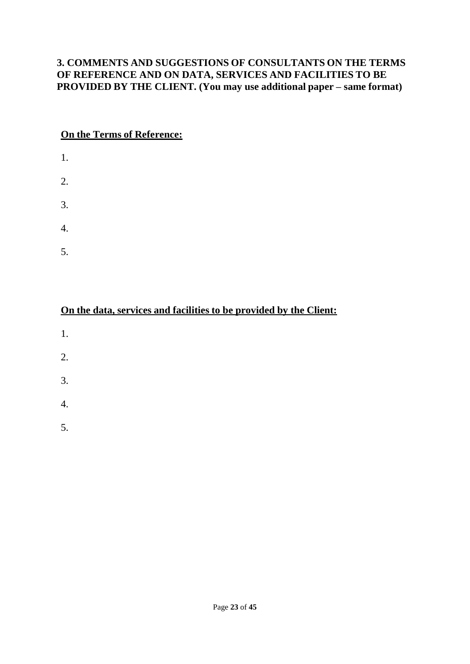## **3. COMMENTS AND SUGGESTIONS OF CONSULTANTS ON THE TERMS OF REFERENCE AND ON DATA, SERVICES AND FACILITIES TO BE PROVIDED BY THE CLIENT. (You may use additional paper – same format)**

## **On the Terms of Reference:**

- 1. 2. 3. 4.
- 5.

|--|

- 1.
- 
- 2.
- 
- 3.
- 4.
- 5.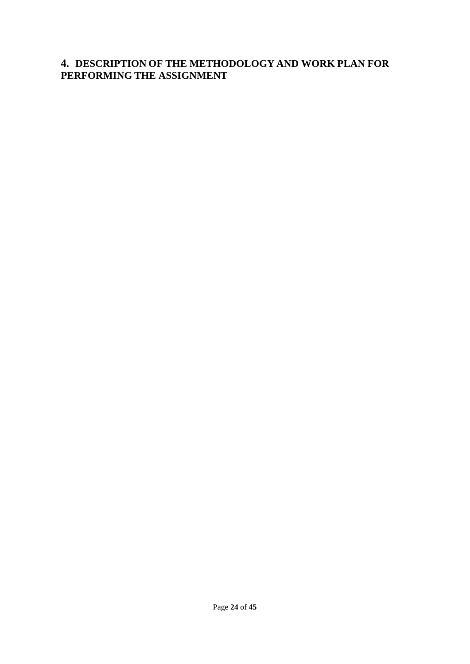## **4. DESCRIPTION OF THE METHODOLOGY AND WORK PLAN FOR PERFORMING THE ASSIGNMENT**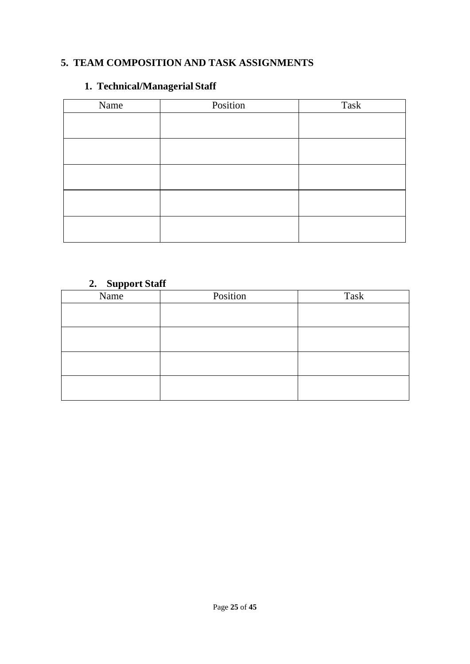# **5. TEAM COMPOSITION AND TASK ASSIGNMENTS**

# **1. Technical/Managerial Staff**

| Name | Position | Task |
|------|----------|------|
|      |          |      |
|      |          |      |
|      |          |      |
|      |          |      |
|      |          |      |
|      |          |      |
|      |          |      |
|      |          |      |
|      |          |      |
|      |          |      |

# **2. Support Staff**

| $  -$<br>Name | Position | Task |
|---------------|----------|------|
|               |          |      |
|               |          |      |
|               |          |      |
|               |          |      |
|               |          |      |
|               |          |      |
|               |          |      |
|               |          |      |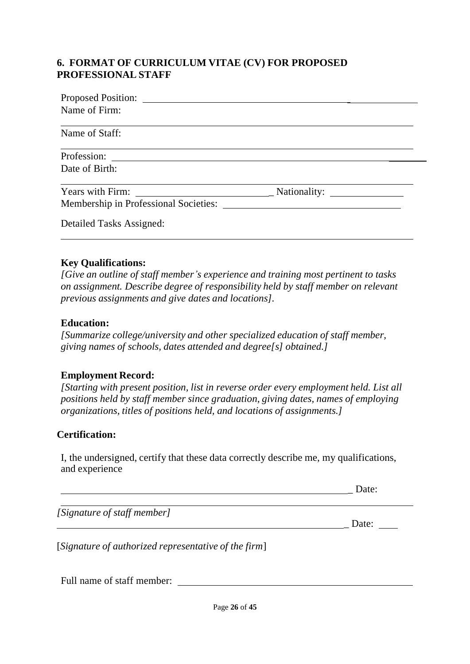## **6. FORMAT OF CURRICULUM VITAE (CV) FOR PROPOSED PROFESSIONAL STAFF**

| Name of Firm:                         |              |  |
|---------------------------------------|--------------|--|
| Name of Staff:                        |              |  |
| Profession:                           |              |  |
| Date of Birth:                        |              |  |
| Years with Firm:                      | Nationality: |  |
| Membership in Professional Societies: |              |  |
| Detailed Tasks Assigned:              |              |  |

### **Key Qualifications:**

*[Give an outline of staff member's experience and training most pertinent to tasks on assignment. Describe degree of responsibility held by staff member on relevant previous assignments and give dates and locations].*

## **Education:**

*[Summarize college/university and other specialized education of staff member, giving names of schools, dates attended and degree[s] obtained.]*

## **Employment Record:**

*[Starting with present position, list in reverse order every employment held. List all positions held by staff member since graduation, giving dates, names of employing organizations, titles of positions held, and locations of assignments.]*

## **Certification:**

I, the undersigned, certify that these data correctly describe me, my qualifications, and experience

\_ Date:

*[Signature of staff member]*

\_ Date:

[*Signature of authorized representative of the firm*]

Full name of staff member: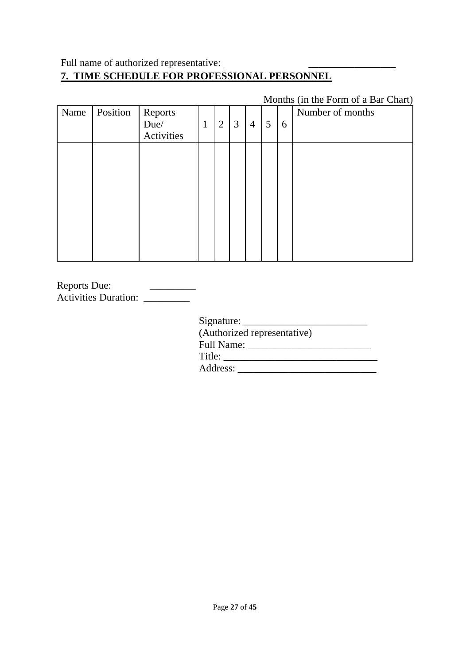# Full name of authorized representative: \_\_\_\_\_\_\_\_\_\_\_\_\_\_\_\_\_ **7. TIME SCHEDULE FOR PROFESSIONAL PERSONNEL**

|      |          |                               |              |                |   |                |   |   | MOINIS (In the FORM OF a Bar Chart) |
|------|----------|-------------------------------|--------------|----------------|---|----------------|---|---|-------------------------------------|
| Name | Position | Reports<br>Due/<br>Activities | $\mathbf{1}$ | $\overline{2}$ | 3 | $\overline{4}$ | 5 | 6 | Number of months                    |
|      |          |                               |              |                |   |                |   |   |                                     |
|      |          |                               |              |                |   |                |   |   |                                     |

Months (in the Form of a Bar Chart)

| <b>Reports Due:</b>         |  |
|-----------------------------|--|
| <b>Activities Duration:</b> |  |

Signature:

| (Authorized representative) |  |
|-----------------------------|--|
| Full Name:                  |  |
| Title:                      |  |
| Address:                    |  |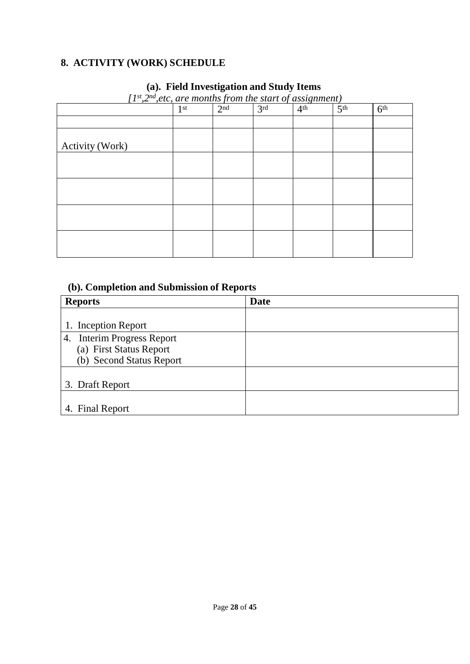# **8. ACTIVITY (WORK) SCHEDULE**

# **(a). Field Investigation and Study Items**

| $\mu$ , $\mu$ , $\mu$ , $\mu$ , $\mu$ months from the start of assignment | 1 <sup>st</sup> | 2 <sup>nd</sup> | 3 <sup>rd</sup> | 4 <sup>th</sup> | 5 <sup>th</sup> | 6 <sup>th</sup> |
|---------------------------------------------------------------------------|-----------------|-----------------|-----------------|-----------------|-----------------|-----------------|
|                                                                           |                 |                 |                 |                 |                 |                 |
|                                                                           |                 |                 |                 |                 |                 |                 |
| Activity (Work)                                                           |                 |                 |                 |                 |                 |                 |
|                                                                           |                 |                 |                 |                 |                 |                 |
|                                                                           |                 |                 |                 |                 |                 |                 |
|                                                                           |                 |                 |                 |                 |                 |                 |
|                                                                           |                 |                 |                 |                 |                 |                 |
|                                                                           |                 |                 |                 |                 |                 |                 |
|                                                                           |                 |                 |                 |                 |                 |                 |
|                                                                           |                 |                 |                 |                 |                 |                 |
|                                                                           |                 |                 |                 |                 |                 |                 |

*[1 st ,2 nd ,etc, are months from the start of assignment)*

## **(b). Completion and Submission of Reports**

| <b>Reports</b>                                                                    | <b>Date</b> |
|-----------------------------------------------------------------------------------|-------------|
| 1. Inception Report                                                               |             |
| 4. Interim Progress Report<br>(a) First Status Report<br>(b) Second Status Report |             |
| 3. Draft Report                                                                   |             |
| 4. Final Report                                                                   |             |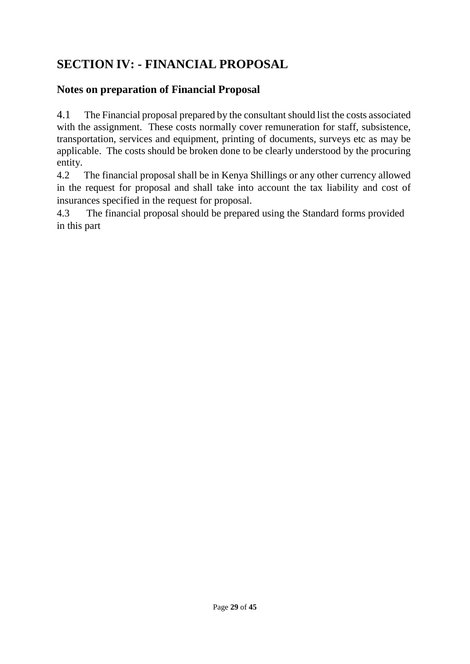# **SECTION IV: - FINANCIAL PROPOSAL**

# **Notes on preparation of Financial Proposal**

4.1 The Financial proposal prepared by the consultant should list the costs associated with the assignment. These costs normally cover remuneration for staff, subsistence, transportation, services and equipment, printing of documents, surveys etc as may be applicable. The costs should be broken done to be clearly understood by the procuring entity.

4.2 The financial proposal shall be in Kenya Shillings or any other currency allowed in the request for proposal and shall take into account the tax liability and cost of insurances specified in the request for proposal.

4.3 The financial proposal should be prepared using the Standard forms provided in this part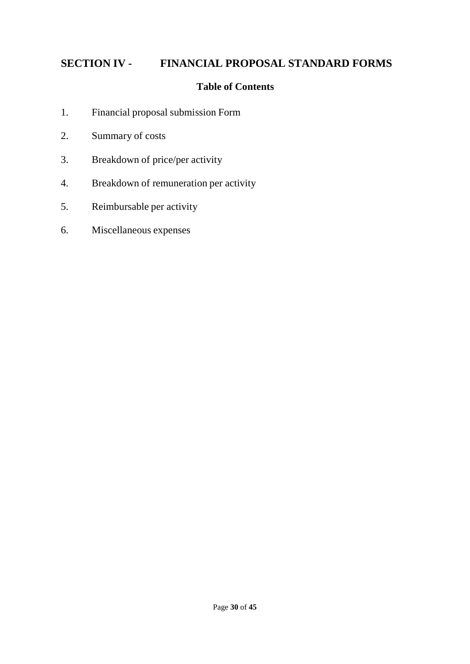# **SECTION IV - FINANCIAL PROPOSAL STANDARD FORMS**

## **Table of Contents**

- 1. Financial proposal submission Form
- 2. Summary of costs
- 3. Breakdown of price/per activity
- 4. Breakdown of remuneration per activity
- 5. Reimbursable per activity
- 6. Miscellaneous expenses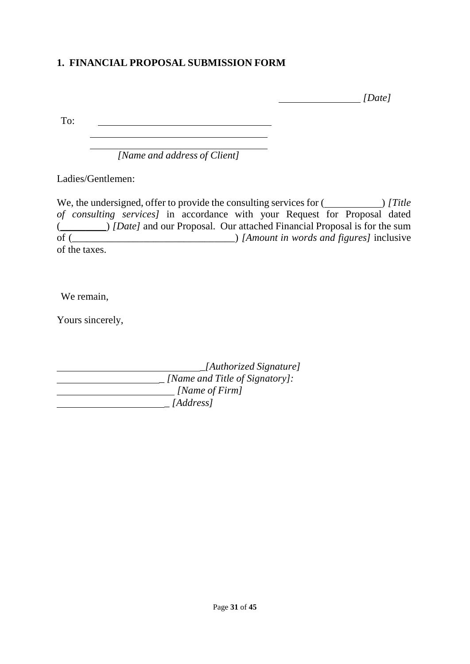# **1. FINANCIAL PROPOSAL SUBMISSION FORM**

 *[Date]*

To:

*[Name and address of Client]*

Ladies/Gentlemen:

We, the undersigned, offer to provide the consulting services for () *[Title of consulting services]* in accordance with your Request for Proposal dated (\_\_\_\_\_\_\_\_\_) *[Date]* and our Proposal. Our attached Financial Proposal is for the sum of (\_\_\_\_\_\_\_\_\_\_\_\_\_\_\_\_\_\_\_\_\_\_\_\_\_\_\_\_\_\_\_\_) *[Amount in words and figures]* inclusive of the taxes.

We remain,

Yours sincerely,

 *\_[Authorized Signature] \_ [Name and Title of Signatory]: [Name of Firm] \_ [Address]*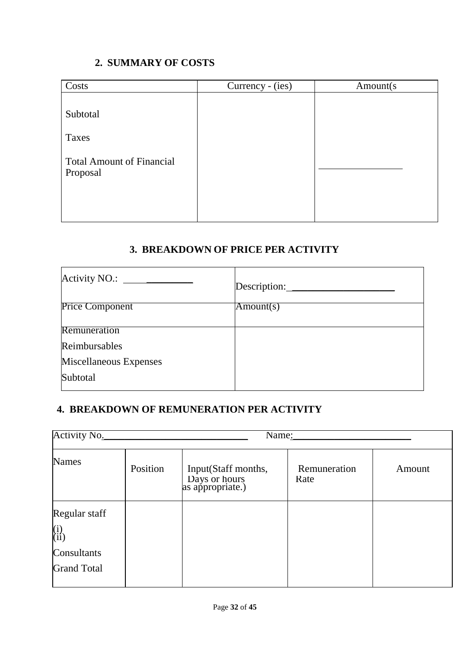# **2. SUMMARY OF COSTS**

| Costs                                        | Currency - (ies) | Amount(s) |
|----------------------------------------------|------------------|-----------|
| Subtotal                                     |                  |           |
| Taxes                                        |                  |           |
| <b>Total Amount of Financial</b><br>Proposal |                  |           |
|                                              |                  |           |

# **3. BREAKDOWN OF PRICE PER ACTIVITY**

| Activity NO.: $\_\_\_\_\_\_\_\_\_\_\_$ | Description: |
|----------------------------------------|--------------|
| <b>Price Component</b>                 | Amount(s)    |
| Remuneration                           |              |
| Reimbursables                          |              |
| Miscellaneous Expenses                 |              |
| Subtotal                               |              |
|                                        |              |

# **4. BREAKDOWN OF REMUNERATION PER ACTIVITY**

| <b>Activity No.</b>                                                                           |          | Name:                                                    |                      |        |
|-----------------------------------------------------------------------------------------------|----------|----------------------------------------------------------|----------------------|--------|
| <b>Names</b>                                                                                  | Position | Input(Staff months,<br>Days or hours<br>as appropriate.) | Remuneration<br>Rate | Amount |
| Regular staff<br>$\begin{pmatrix} i \\ ii \end{pmatrix}$<br>Consultants<br><b>Grand Total</b> |          |                                                          |                      |        |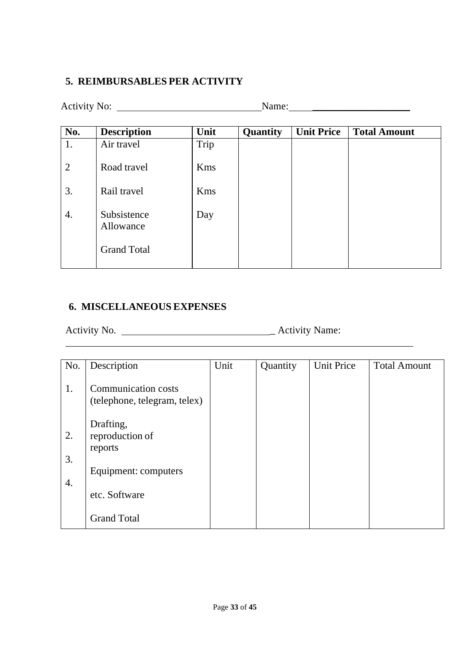# **5. REIMBURSABLES PER ACTIVITY**

| <b>Activity No:</b>      |      |          |                   |                     |
|--------------------------|------|----------|-------------------|---------------------|
| <b>Description</b>       | Unit | Quantity | <b>Unit Price</b> | <b>Total Amount</b> |
| Air travel               | Trip |          |                   |                     |
| Road travel              | Kms  |          |                   |                     |
| Rail travel              | Kms  |          |                   |                     |
| Subsistence<br>Allowance | Day  |          |                   |                     |
| <b>Grand Total</b>       |      |          |                   |                     |
|                          |      |          |                   | Name:               |

## **6. MISCELLANEOUS EXPENSES**

Activity No. \_ Activity Name:

| No.      | Description                                                | Unit | Quantity | <b>Unit Price</b> | <b>Total Amount</b> |
|----------|------------------------------------------------------------|------|----------|-------------------|---------------------|
| 1.       | <b>Communication costs</b><br>(telephone, telegram, telex) |      |          |                   |                     |
| 2.<br>3. | Drafting,<br>reproduction of<br>reports                    |      |          |                   |                     |
|          | Equipment: computers                                       |      |          |                   |                     |
| 4.       | etc. Software                                              |      |          |                   |                     |
|          | <b>Grand Total</b>                                         |      |          |                   |                     |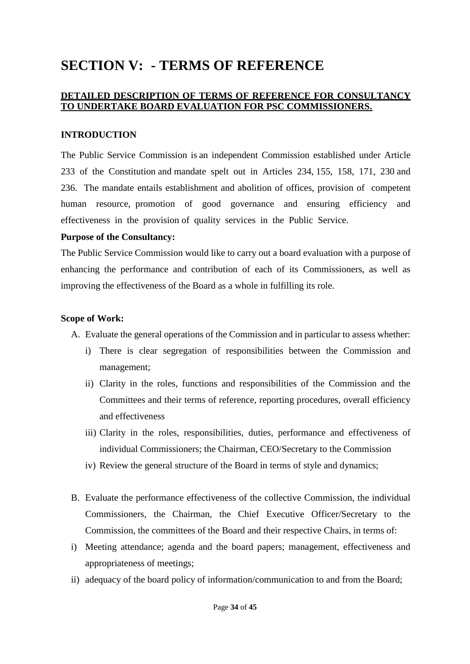# **SECTION V: - TERMS OF REFERENCE**

### **DETAILED DESCRIPTION OF TERMS OF REFERENCE FOR CONSULTANCY TO UNDERTAKE BOARD EVALUATION FOR PSC COMMISSIONERS.**

#### **INTRODUCTION**

The Public Service Commission is an independent Commission established under Article 233 of the Constitution and mandate spelt out in Articles 234, 155, 158, 171, 230 and 236. The mandate entails establishment and abolition of offices, provision of competent human resource, promotion of good governance and ensuring efficiency and effectiveness in the provision of quality services in the Public Service.

#### **Purpose of the Consultancy:**

The Public Service Commission would like to carry out a board evaluation with a purpose of enhancing the performance and contribution of each of its Commissioners, as well as improving the effectiveness of the Board as a whole in fulfilling its role.

#### **Scope of Work:**

A. Evaluate the general operations of the Commission and in particular to assess whether:

- i) There is clear segregation of responsibilities between the Commission and management;
- ii) Clarity in the roles, functions and responsibilities of the Commission and the Committees and their terms of reference, reporting procedures, overall efficiency and effectiveness
- iii) Clarity in the roles, responsibilities, duties, performance and effectiveness of individual Commissioners; the Chairman, CEO/Secretary to the Commission
- iv) Review the general structure of the Board in terms of style and dynamics;
- B. Evaluate the performance effectiveness of the collective Commission, the individual Commissioners, the Chairman, the Chief Executive Officer/Secretary to the Commission, the committees of the Board and their respective Chairs, in terms of:
- i) Meeting attendance; agenda and the board papers; management, effectiveness and appropriateness of meetings;
- ii) adequacy of the board policy of information/communication to and from the Board;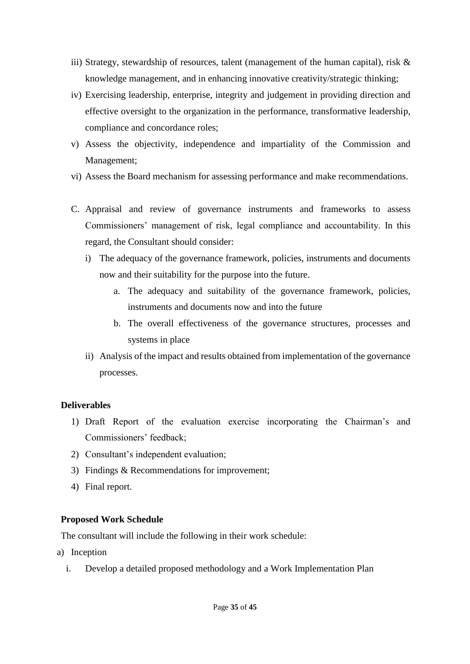- iii) Strategy, stewardship of resources, talent (management of the human capital), risk & knowledge management, and in enhancing innovative creativity/strategic thinking;
- iv) Exercising leadership, enterprise, integrity and judgement in providing direction and effective oversight to the organization in the performance, transformative leadership, compliance and concordance roles;
- v) Assess the objectivity, independence and impartiality of the Commission and Management;
- vi) Assess the Board mechanism for assessing performance and make recommendations.
- C. Appraisal and review of governance instruments and frameworks to assess Commissioners' management of risk, legal compliance and accountability. In this regard, the Consultant should consider:
	- i) The adequacy of the governance framework, policies, instruments and documents now and their suitability for the purpose into the future.
		- a. The adequacy and suitability of the governance framework, policies, instruments and documents now and into the future
		- b. The overall effectiveness of the governance structures, processes and systems in place
	- ii) Analysis of the impact and results obtained from implementation of the governance processes.

### **Deliverables**

- 1) Draft Report of the evaluation exercise incorporating the Chairman's and Commissioners' feedback;
- 2) Consultant's independent evaluation;
- 3) Findings & Recommendations for improvement;
- 4) Final report.

### **Proposed Work Schedule**

The consultant will include the following in their work schedule:

- a) Inception
	- i. Develop a detailed proposed methodology and a Work Implementation Plan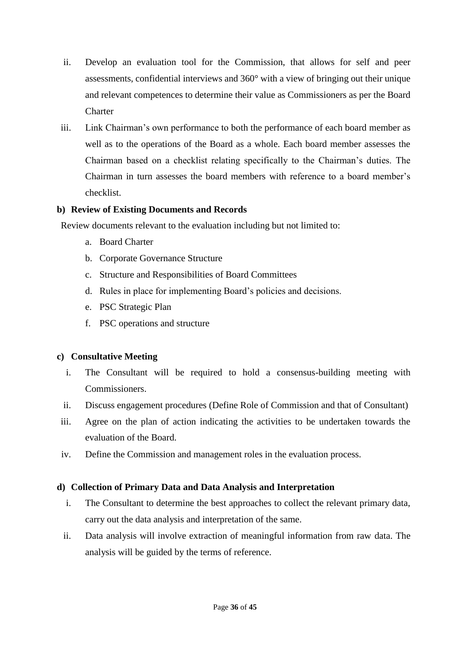- ii. Develop an evaluation tool for the Commission, that allows for self and peer assessments, confidential interviews and 360° with a view of bringing out their unique and relevant competences to determine their value as Commissioners as per the Board **Charter**
- iii. Link Chairman's own performance to both the performance of each board member as well as to the operations of the Board as a whole. Each board member assesses the Chairman based on a checklist relating specifically to the Chairman's duties. The Chairman in turn assesses the board members with reference to a board member's checklist.

### **b) Review of Existing Documents and Records**

Review documents relevant to the evaluation including but not limited to:

- a. Board Charter
- b. Corporate Governance Structure
- c. Structure and Responsibilities of Board Committees
- d. Rules in place for implementing Board's policies and decisions.
- e. PSC Strategic Plan
- f. PSC operations and structure

#### **c) Consultative Meeting**

- i. The Consultant will be required to hold a consensus-building meeting with Commissioners.
- ii. Discuss engagement procedures (Define Role of Commission and that of Consultant)
- iii. Agree on the plan of action indicating the activities to be undertaken towards the evaluation of the Board.
- iv. Define the Commission and management roles in the evaluation process.

### **d) Collection of Primary Data and Data Analysis and Interpretation**

- i. The Consultant to determine the best approaches to collect the relevant primary data, carry out the data analysis and interpretation of the same.
- ii. Data analysis will involve extraction of meaningful information from raw data. The analysis will be guided by the terms of reference.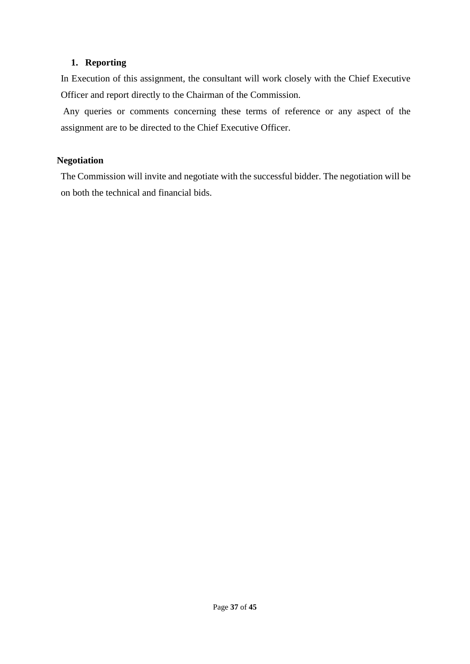#### **1. Reporting**

In Execution of this assignment, the consultant will work closely with the Chief Executive Officer and report directly to the Chairman of the Commission.

Any queries or comments concerning these terms of reference or any aspect of the assignment are to be directed to the Chief Executive Officer.

#### **Negotiation**

The Commission will invite and negotiate with the successful bidder. The negotiation will be on both the technical and financial bids.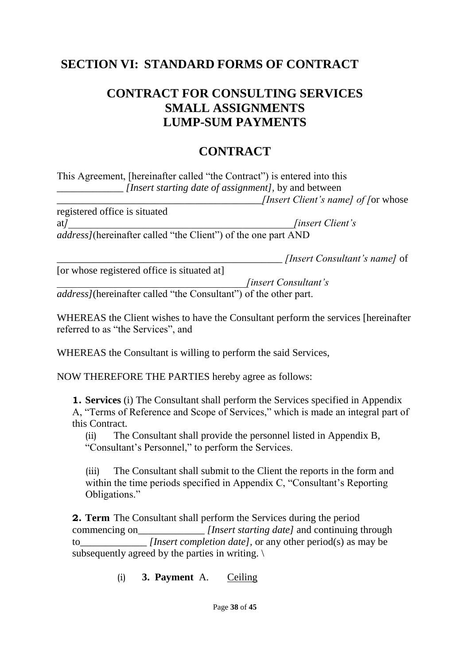# **SECTION VI: STANDARD FORMS OF CONTRACT**

# **CONTRACT FOR CONSULTING SERVICES SMALL ASSIGNMENTS LUMP-SUM PAYMENTS**

# **CONTRACT**

This Agreement, [hereinafter called "the Contract") is entered into this *[Insert starting date of assignment]*, by and between

\_\_\_\_\_\_\_\_\_\_\_\_\_\_\_\_\_\_\_\_\_\_\_\_\_\_\_\_\_\_\_\_\_\_\_\_\_\_\_\_*[Insert Client's name] of [*or whose

registered office is situated at<sup>*]</sup></sup>*  $\frac{1}{2}$  *<i>linsert Client's*</sup> *address]*(hereinafter called "the Client") of the one part AND

\_\_\_\_\_\_\_\_\_\_\_\_\_\_\_\_\_\_\_\_\_\_\_\_\_\_\_\_\_\_\_\_\_\_\_\_\_\_\_\_\_\_\_\_ *[Insert Consultant's name]* of

[or whose registered office is situated at]

*\_\_\_\_\_\_\_\_\_\_\_\_\_\_\_\_\_\_\_\_\_\_\_\_\_\_\_\_\_\_\_\_\_\_\_\_\_[insert Consultant's address]*(hereinafter called "the Consultant") of the other part.

WHEREAS the Client wishes to have the Consultant perform the services [hereinafter referred to as "the Services", and

WHEREAS the Consultant is willing to perform the said Services,

NOW THEREFORE THE PARTIES hereby agree as follows:

**1. Services** (i) The Consultant shall perform the Services specified in Appendix A, "Terms of Reference and Scope of Services," which is made an integral part of this Contract.

(ii) The Consultant shall provide the personnel listed in Appendix B, "Consultant's Personnel," to perform the Services.

(iii) The Consultant shall submit to the Client the reports in the form and within the time periods specified in Appendix C, "Consultant's Reporting Obligations."

**2. Term** The Consultant shall perform the Services during the period commencing on *[Insert starting date]* and continuing through to *[Insert completion date]*, or any other period(s) as may be subsequently agreed by the parties in writing.  $\setminus$ 

(i) **3. Payment** A. Ceiling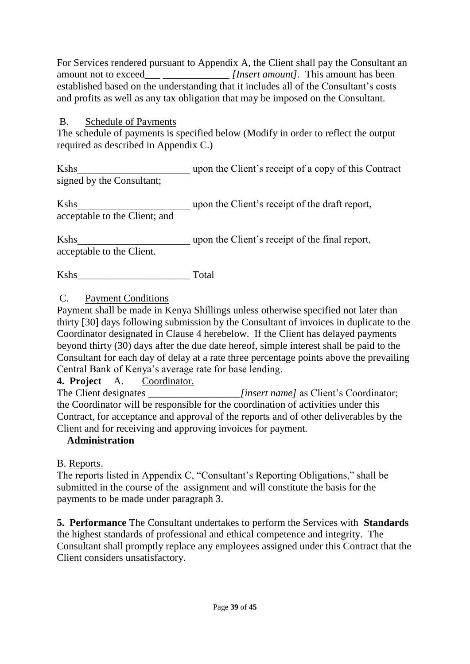For Services rendered pursuant to Appendix A, the Client shall pay the Consultant an amount not to exceed\_\_\_ \_\_\_\_\_\_\_\_\_\_\_\_\_ *[Insert amount].* This amount has been established based on the understanding that it includes all of the Consultant's costs and profits as well as any tax obligation that may be imposed on the Consultant.

## B. Schedule of Payments

The schedule of payments is specified below (Modify in order to reflect the output required as described in Appendix C.)

Kshs \_\_\_\_\_\_\_\_\_\_\_\_\_\_\_\_\_\_\_\_\_\_\_\_\_ upon the Client's receipt of a copy of this Contract signed by the Consultant;

Kshs\_\_\_\_\_\_\_\_\_\_\_\_\_\_\_\_\_\_\_\_\_\_ upon the Client's receipt of the draft report, acceptable to the Client; and

Kshs\_\_\_\_\_\_\_\_\_\_\_\_\_\_\_\_\_\_\_\_\_\_ upon the Client's receipt of the final report, acceptable to the Client.

Kshs\_\_\_\_\_\_\_\_\_\_\_\_\_\_\_\_\_\_\_\_\_\_ Total

C. Payment Conditions

Payment shall be made in Kenya Shillings unless otherwise specified not later than thirty [30] days following submission by the Consultant of invoices in duplicate to the Coordinator designated in Clause 4 herebelow. If the Client has delayed payments beyond thirty (30) days after the due date hereof, simple interest shall be paid to the Consultant for each day of delay at a rate three percentage points above the prevailing Central Bank of Kenya's average rate for base lending.

**4. Project** A. Coordinator.

The Client designates *[insert name]* as Client's Coordinator; the Coordinator will be responsible for the coordination of activities under this Contract, for acceptance and approval of the reports and of other deliverables by the Client and for receiving and approving invoices for payment.

# **Administration**

B. Reports.

The reports listed in Appendix C, "Consultant's Reporting Obligations," shall be submitted in the course of the assignment and will constitute the basis for the payments to be made under paragraph 3.

**5. Performance** The Consultant undertakes to perform the Services with **Standards**  the highest standards of professional and ethical competence and integrity. The Consultant shall promptly replace any employees assigned under this Contract that the Client considers unsatisfactory.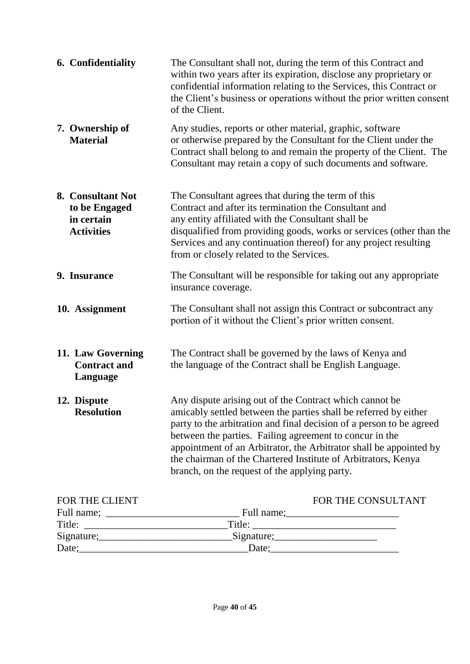| 6. Confidentiality                                                    | The Consultant shall not, during the term of this Contract and<br>within two years after its expiration, disclose any proprietary or<br>confidential information relating to the Services, this Contract or<br>the Client's business or operations without the prior written consent<br>of the Client.                                                                                                                                                 |
|-----------------------------------------------------------------------|--------------------------------------------------------------------------------------------------------------------------------------------------------------------------------------------------------------------------------------------------------------------------------------------------------------------------------------------------------------------------------------------------------------------------------------------------------|
| 7. Ownership of<br><b>Material</b>                                    | Any studies, reports or other material, graphic, software<br>or otherwise prepared by the Consultant for the Client under the<br>Contract shall belong to and remain the property of the Client. The<br>Consultant may retain a copy of such documents and software.                                                                                                                                                                                   |
| 8. Consultant Not<br>to be Engaged<br>in certain<br><b>Activities</b> | The Consultant agrees that during the term of this<br>Contract and after its termination the Consultant and<br>any entity affiliated with the Consultant shall be<br>disqualified from providing goods, works or services (other than the<br>Services and any continuation thereof) for any project resulting<br>from or closely related to the Services.                                                                                              |
| 9. Insurance                                                          | The Consultant will be responsible for taking out any appropriate<br>insurance coverage.                                                                                                                                                                                                                                                                                                                                                               |
| 10. Assignment                                                        | The Consultant shall not assign this Contract or subcontract any<br>portion of it without the Client's prior written consent.                                                                                                                                                                                                                                                                                                                          |
| 11. Law Governing<br><b>Contract and</b><br>Language                  | The Contract shall be governed by the laws of Kenya and<br>the language of the Contract shall be English Language.                                                                                                                                                                                                                                                                                                                                     |
| 12. Dispute<br><b>Resolution</b>                                      | Any dispute arising out of the Contract which cannot be<br>amicably settled between the parties shall be referred by either<br>party to the arbitration and final decision of a person to be agreed<br>between the parties. Failing agreement to concur in the<br>appointment of an Arbitrator, the Arbitrator shall be appointed by<br>the chairman of the Chartered Institute of Arbitrators, Kenya<br>branch, on the request of the applying party. |
| FOR THE CLIENT                                                        | FOR THE CONSULTANT                                                                                                                                                                                                                                                                                                                                                                                                                                     |

| TURTHE CLILINI                                                                                                                     |            | TURTHE CONSULTA |
|------------------------------------------------------------------------------------------------------------------------------------|------------|-----------------|
| Full name;<br><u> 1980 - Jan Stein Harry Harry Harry Harry Harry Harry Harry Harry Harry Harry Harry Harry Harry Harry Harry H</u> | Full name; |                 |
| Title:                                                                                                                             | Title:     |                 |
| Signature;                                                                                                                         | Signature; |                 |
| Date;                                                                                                                              | Date:      |                 |
|                                                                                                                                    |            |                 |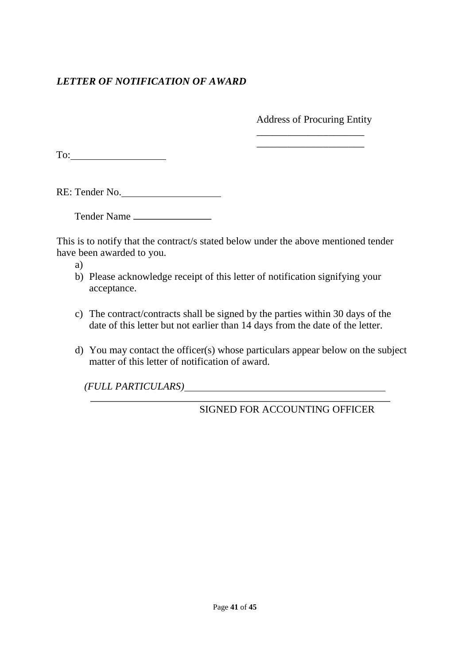# *LETTER OF NOTIFICATION OF AWARD*

Address of Procuring Entity \_\_\_\_\_\_\_\_\_\_\_\_\_\_\_\_\_\_\_\_\_

\_\_\_\_\_\_\_\_\_\_\_\_\_\_\_\_\_\_\_\_\_

To:

RE: Tender No.

Tender Name

This is to notify that the contract/s stated below under the above mentioned tender have been awarded to you.

a)

- b) Please acknowledge receipt of this letter of notification signifying your acceptance.
- c) The contract/contracts shall be signed by the parties within 30 days of the date of this letter but not earlier than 14 days from the date of the letter.
- d) You may contact the officer(s) whose particulars appear below on the subject matter of this letter of notification of award.

*(FULL PARTICULARS)*

SIGNED FOR ACCOUNTING OFFICER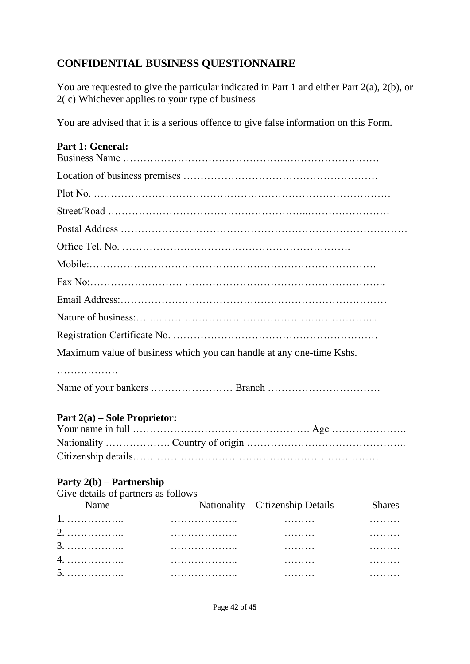# **CONFIDENTIAL BUSINESS QUESTIONNAIRE**

You are requested to give the particular indicated in Part 1 and either Part 2(a), 2(b), or 2( c) Whichever applies to your type of business

You are advised that it is a serious offence to give false information on this Form.

## **Part 1: General:**

| Maximum value of business which you can handle at any one-time Kshs. |
|----------------------------------------------------------------------|
| .                                                                    |
|                                                                      |

## **Part 2(a) – Sole Proprietor:**

# **Party 2(b) – Partnership**

Give details of partners as follows

| Name |   | Nationality Citizenship Details | <b>Shares</b> |
|------|---|---------------------------------|---------------|
|      |   | .                               | .             |
|      |   | .                               | .             |
|      | . | .                               | .             |
|      |   | .                               | .             |
|      |   | .                               | .             |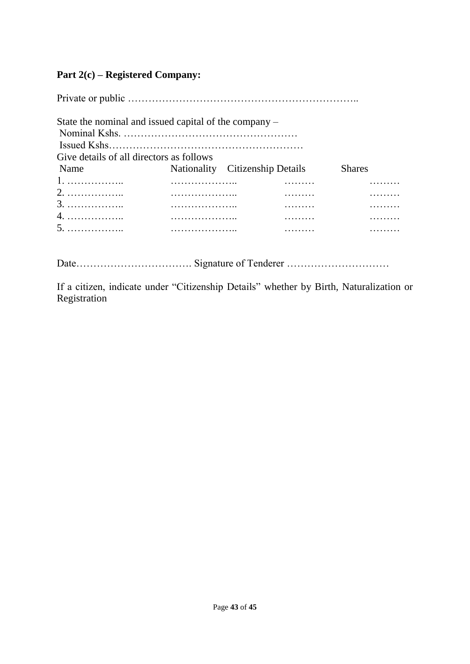## **Part 2(c) – Registered Company:**

Private or public ………………………………………………………….. State the nominal and issued capital of the company – Nominal Kshs. …………………………………………… Issued Kshs………………………………………………… Give details of all directors as follows Name Nationality Citizenship Details Shares 1. …………….. ……………….. ……… ……… 2. …………….. ……………….. ……… ……… 3. …………….. ……………….. ……… ……… 4. …………….. ……………….. ……… ……… 5. …………….. ……………….. ……… ………

Date……………………………. Signature of Tenderer …………………………

If a citizen, indicate under "Citizenship Details" whether by Birth, Naturalization or Registration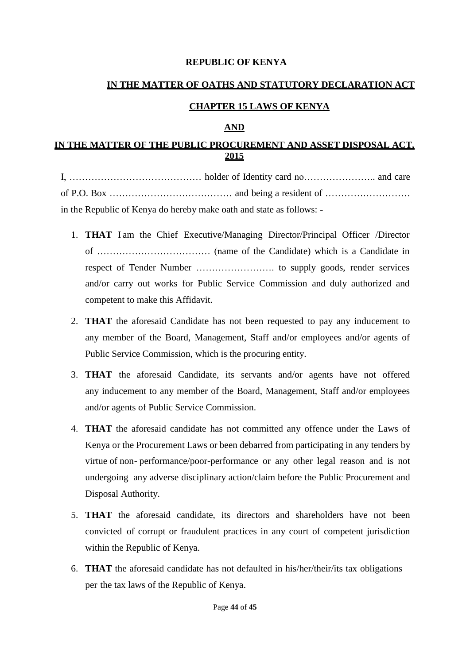#### **REPUBLIC OF KENYA**

## **IN THE MATTER OF OATHS AND STATUTORY DECLARATION ACT**

#### **CHAPTER 15 LAWS OF KENYA**

#### **AND**

## **IN THE MATTER OF THE PUBLIC PROCUREMENT AND ASSET DISPOSAL ACT, 2015**

I, …………………………………… holder of Identity card no………………….. and care of P.O. Box ………………………………… and being a resident of ……………………… in the Republic of Kenya do hereby make oath and state as follows: -

- 1. **THAT** I am the Chief Executive/Managing Director/Principal Officer /Director of ……………………………… (name of the Candidate) which is a Candidate in respect of Tender Number ……………………. to supply goods, render services and/or carry out works for Public Service Commission and duly authorized and competent to make this Affidavit.
- 2. **THAT** the aforesaid Candidate has not been requested to pay any inducement to any member of the Board, Management, Staff and/or employees and/or agents of Public Service Commission, which is the procuring entity.
- 3. **THAT** the aforesaid Candidate, its servants and/or agents have not offered any inducement to any member of the Board, Management, Staff and/or employees and/or agents of Public Service Commission.
- 4. **THAT** the aforesaid candidate has not committed any offence under the Laws of Kenya or the Procurement Laws or been debarred from participating in any tenders by virtue of non- performance/poor-performance or any other legal reason and is not undergoing any adverse disciplinary action/claim before the Public Procurement and Disposal Authority.
- 5. **THAT** the aforesaid candidate, its directors and shareholders have not been convicted of corrupt or fraudulent practices in any court of competent jurisdiction within the Republic of Kenya.
- 6. **THAT** the aforesaid candidate has not defaulted in his/her/their/its tax obligations per the tax laws of the Republic of Kenya.